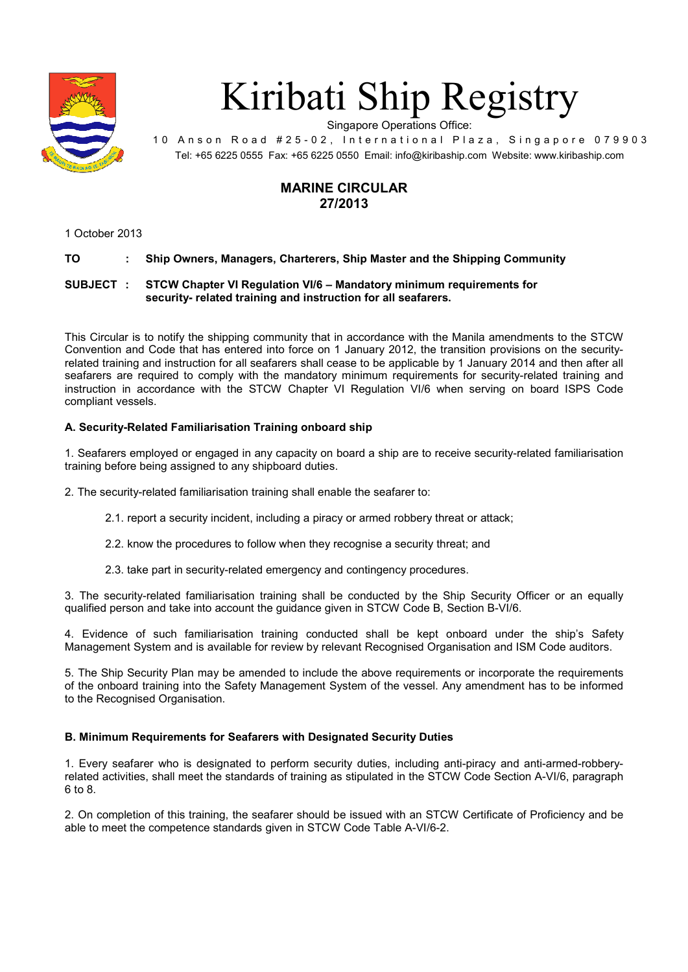

# Kiribati Ship Registry

Singapore Operations Office:

10 Anson Road #25-02, International Plaza, Singapore 079903 Tel: +65 6225 0555 Fax: +65 6225 0550 Email: info@kiribaship.com Website: www.kiribaship.com

# **MARINE CIRCULAR 27/2013**

1 October 2013

# **TO : Ship Owners, Managers, Charterers, Ship Master and the Shipping Community**

### **SUBJECT : STCW Chapter VI Regulation VI/6 – Mandatory minimum requirements for security- related training and instruction for all seafarers.**

This Circular is to notify the shipping community that in accordance with the Manila amendments to the STCW Convention and Code that has entered into force on 1 January 2012, the transition provisions on the securityrelated training and instruction for all seafarers shall cease to be applicable by 1 January 2014 and then after all seafarers are required to comply with the mandatory minimum requirements for security-related training and instruction in accordance with the STCW Chapter VI Regulation VI/6 when serving on board ISPS Code compliant vessels.

# **A. Security-Related Familiarisation Training onboard ship**

1. Seafarers employed or engaged in any capacity on board a ship are to receive security-related familiarisation training before being assigned to any shipboard duties.

2. The security-related familiarisation training shall enable the seafarer to:

- 2.1. report a security incident, including a piracy or armed robbery threat or attack;
- 2.2. know the procedures to follow when they recognise a security threat; and
- 2.3. take part in security-related emergency and contingency procedures.

3. The security-related familiarisation training shall be conducted by the Ship Security Officer or an equally qualified person and take into account the guidance given in STCW Code B, Section B-VI/6.

4. Evidence of such familiarisation training conducted shall be kept onboard under the ship's Safety Management System and is available for review by relevant Recognised Organisation and ISM Code auditors.

5. The Ship Security Plan may be amended to include the above requirements or incorporate the requirements of the onboard training into the Safety Management System of the vessel. Any amendment has to be informed to the Recognised Organisation.

# **B. Minimum Requirements for Seafarers with Designated Security Duties**

1. Every seafarer who is designated to perform security duties, including anti-piracy and anti-armed-robberyrelated activities, shall meet the standards of training as stipulated in the STCW Code Section A-VI/6, paragraph 6 to 8.

2. On completion of this training, the seafarer should be issued with an STCW Certificate of Proficiency and be able to meet the competence standards given in STCW Code Table A-VI/6-2.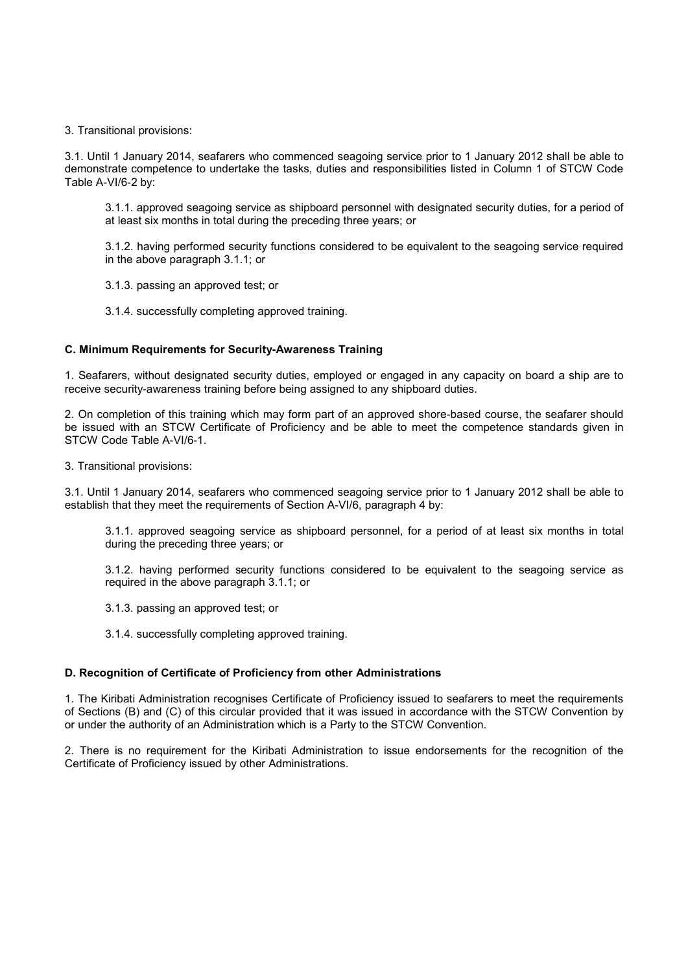#### 3. Transitional provisions:

3.1. Until 1 January 2014, seafarers who commenced seagoing service prior to 1 January 2012 shall be able to demonstrate competence to undertake the tasks, duties and responsibilities listed in Column 1 of STCW Code Table A-VI/6-2 by:

 3.1.1. approved seagoing service as shipboard personnel with designated security duties, for a period of at least six months in total during the preceding three years; or

 3.1.2. having performed security functions considered to be equivalent to the seagoing service required in the above paragraph 3.1.1; or

- 3.1.3. passing an approved test; or
- 3.1.4. successfully completing approved training.

#### **C. Minimum Requirements for Security-Awareness Training**

1. Seafarers, without designated security duties, employed or engaged in any capacity on board a ship are to receive security-awareness training before being assigned to any shipboard duties.

2. On completion of this training which may form part of an approved shore-based course, the seafarer should be issued with an STCW Certificate of Proficiency and be able to meet the competence standards given in STCW Code Table A-VI/6-1.

3. Transitional provisions:

3.1. Until 1 January 2014, seafarers who commenced seagoing service prior to 1 January 2012 shall be able to establish that they meet the requirements of Section A-VI/6, paragraph 4 by:

 3.1.1. approved seagoing service as shipboard personnel, for a period of at least six months in total during the preceding three years; or

 3.1.2. having performed security functions considered to be equivalent to the seagoing service as required in the above paragraph 3.1.1; or

- 3.1.3. passing an approved test; or
- 3.1.4. successfully completing approved training.

#### **D. Recognition of Certificate of Proficiency from other Administrations**

1. The Kiribati Administration recognises Certificate of Proficiency issued to seafarers to meet the requirements of Sections (B) and (C) of this circular provided that it was issued in accordance with the STCW Convention by or under the authority of an Administration which is a Party to the STCW Convention.

2. There is no requirement for the Kiribati Administration to issue endorsements for the recognition of the Certificate of Proficiency issued by other Administrations.